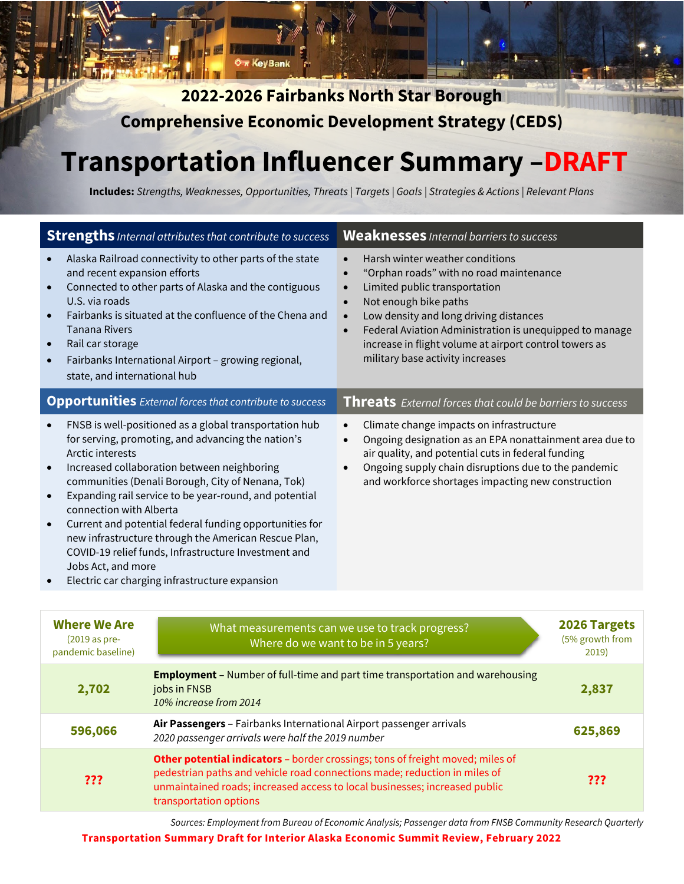**2022-2026 Fairbanks North Star Borough Comprehensive Economic Development Strategy (CEDS)** 

<del>Σπ</del> KeyBank

# **Transportation Influencer Summary –DRAFT**

**Includes:** *Strengths, Weaknesses, Opportunities, Threats | Targets | Goals | Strategies & Actions | Relevant Plans*

| <b>Strengths</b> Internal attributes that contribute to success                                                                                      |                                                                                                                                                                                                                                                                                                                                                                                                                                                                                                         | <b>Weaknesses</b> Internal barriers to success                                                                                                                                                                                                                                                                                                                                                           |              |
|------------------------------------------------------------------------------------------------------------------------------------------------------|---------------------------------------------------------------------------------------------------------------------------------------------------------------------------------------------------------------------------------------------------------------------------------------------------------------------------------------------------------------------------------------------------------------------------------------------------------------------------------------------------------|----------------------------------------------------------------------------------------------------------------------------------------------------------------------------------------------------------------------------------------------------------------------------------------------------------------------------------------------------------------------------------------------------------|--------------|
| and recent expansion efforts<br>U.S. via roads<br><b>Tanana Rivers</b><br>Rail car storage<br>$\bullet$<br>$\bullet$<br>state, and international hub | Alaska Railroad connectivity to other parts of the state<br>Connected to other parts of Alaska and the contiguous<br>Fairbanks is situated at the confluence of the Chena and<br>Fairbanks International Airport - growing regional,                                                                                                                                                                                                                                                                    | Harsh winter weather conditions<br>"Orphan roads" with no road maintenance<br>$\bullet$<br>Limited public transportation<br>$\bullet$<br>Not enough bike paths<br>$\bullet$<br>Low density and long driving distances<br>$\bullet$<br>Federal Aviation Administration is unequipped to manage<br>$\bullet$<br>increase in flight volume at airport control towers as<br>military base activity increases |              |
|                                                                                                                                                      | <b>Opportunities</b> External forces that contribute to success                                                                                                                                                                                                                                                                                                                                                                                                                                         | <b>Threats</b> External forces that could be barriers to success                                                                                                                                                                                                                                                                                                                                         |              |
| Arctic interests<br>$\bullet$<br>connection with Alberta<br>$\bullet$<br>Jobs Act, and more                                                          | FNSB is well-positioned as a global transportation hub<br>for serving, promoting, and advancing the nation's<br>Increased collaboration between neighboring<br>communities (Denali Borough, City of Nenana, Tok)<br>Expanding rail service to be year-round, and potential<br>Current and potential federal funding opportunities for<br>new infrastructure through the American Rescue Plan,<br>COVID-19 relief funds, Infrastructure Investment and<br>Electric car charging infrastructure expansion | Climate change impacts on infrastructure<br>$\bullet$<br>Ongoing designation as an EPA nonattainment area due to<br>$\bullet$<br>air quality, and potential cuts in federal funding<br>Ongoing supply chain disruptions due to the pandemic<br>$\bullet$<br>and workforce shortages impacting new construction                                                                                           |              |
|                                                                                                                                                      |                                                                                                                                                                                                                                                                                                                                                                                                                                                                                                         |                                                                                                                                                                                                                                                                                                                                                                                                          |              |
| <b>Where We Are</b><br>(2019 as pre-<br>pandemic baseline)                                                                                           | What measurements can we use to track progress?<br>(5% growth from<br>Where do we want to be in 5 years?<br>2019)                                                                                                                                                                                                                                                                                                                                                                                       |                                                                                                                                                                                                                                                                                                                                                                                                          | 2026 Targets |
| 2,702                                                                                                                                                | <b>Employment -</b> Number of full-time and part time transportation and warehousing<br>jobs in FNSB<br>2,837<br>10% increase from 2014                                                                                                                                                                                                                                                                                                                                                                 |                                                                                                                                                                                                                                                                                                                                                                                                          |              |
| 596,066                                                                                                                                              | Air Passengers - Fairbanks International Airport passenger arrivals<br>625,869<br>2020 passenger arrivals were half the 2019 number                                                                                                                                                                                                                                                                                                                                                                     |                                                                                                                                                                                                                                                                                                                                                                                                          |              |
| ???                                                                                                                                                  | Other potential indicators - border crossings; tons of freight moved; miles of<br>pedestrian paths and vehicle road connections made; reduction in miles of<br>???<br>unmaintained roads; increased access to local businesses; increased public<br>transportation options                                                                                                                                                                                                                              |                                                                                                                                                                                                                                                                                                                                                                                                          |              |

*Sources: Employment from Bureau of Economic Analysis; Passenger data from FNSB Community Research Quarterly*

**Transportation Summary Draft for Interior Alaska Economic Summit Review, February 2022**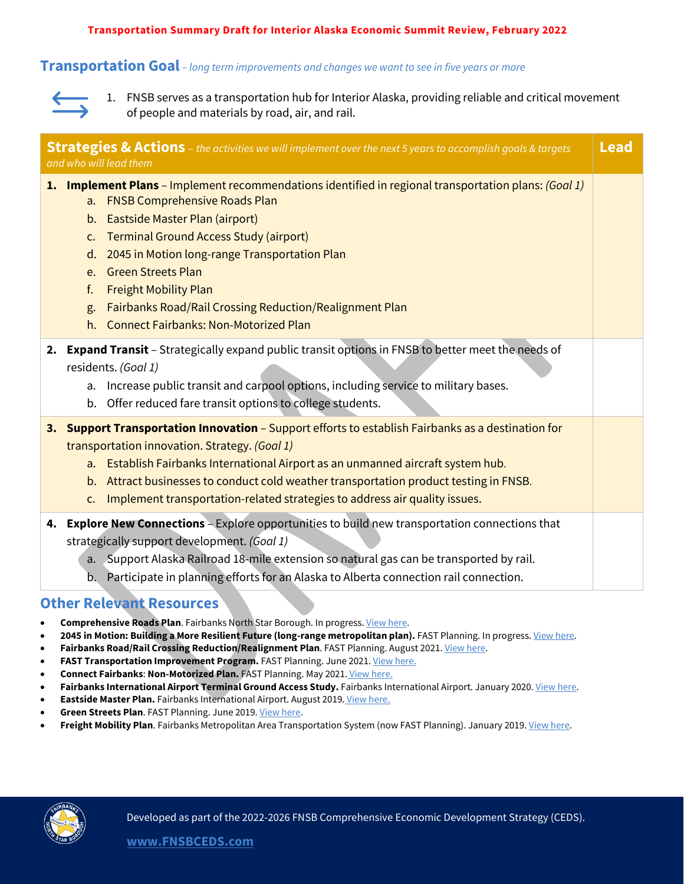**Transportation Summary Draft for Interior Alaska Economic Summit Review, February 2022**

#### **Transportation Goal** *– long term improvements and changes we want to see in five years or more*



1. FNSB serves as a transportation hub for Interior Alaska, providing reliable and critical movement of people and materials by road, air, and rail.

| <b>Strategies &amp; Actions</b> - the activities we will implement over the next 5 years to accomplish goals & targets<br><b>Lead</b><br>and who will lead them |                                                                                                                                                                                                                                                                                                                                                                                                                                                                                                                   |  |
|-----------------------------------------------------------------------------------------------------------------------------------------------------------------|-------------------------------------------------------------------------------------------------------------------------------------------------------------------------------------------------------------------------------------------------------------------------------------------------------------------------------------------------------------------------------------------------------------------------------------------------------------------------------------------------------------------|--|
|                                                                                                                                                                 | 1. Implement Plans - Implement recommendations identified in regional transportation plans: (Goal 1)<br><b>FNSB Comprehensive Roads Plan</b><br>a.<br>Eastside Master Plan (airport)<br>b.<br><b>Terminal Ground Access Study (airport)</b><br>$C_{\star}$<br>2045 in Motion long-range Transportation Plan<br>d.<br><b>Green Streets Plan</b><br>e.<br><b>Freight Mobility Plan</b><br>f.<br>Fairbanks Road/Rail Crossing Reduction/Realignment Plan<br>g.<br><b>Connect Fairbanks: Non-Motorized Plan</b><br>h. |  |
| 2.                                                                                                                                                              | Expand Transit - Strategically expand public transit options in FNSB to better meet the needs of<br>residents. (Goal 1)<br>Increase public transit and carpool options, including service to military bases.<br>a.<br>Offer reduced fare transit options to college students.<br>b.                                                                                                                                                                                                                               |  |
|                                                                                                                                                                 | 3. Support Transportation Innovation - Support efforts to establish Fairbanks as a destination for<br>transportation innovation. Strategy. (Goal 1)<br>Establish Fairbanks International Airport as an unmanned aircraft system hub.<br>a.<br>Attract businesses to conduct cold weather transportation product testing in FNSB.<br>b.<br>Implement transportation-related strategies to address air quality issues.<br>$C_{\star}$                                                                               |  |
|                                                                                                                                                                 | 4. Explore New Connections - Explore opportunities to build new transportation connections that<br>strategically support development. (Goal 1)<br>a. Support Alaska Railroad 18-mile extension so natural gas can be transported by rail.<br>b. Participate in planning efforts for an Alaska to Alberta connection rail connection.                                                                                                                                                                              |  |

## **Other Relevant Resources**

- Comprehensive Roads Plan. Fairbanks North Star Borough. In progress[. View here.](https://fnsbroadsplan.com/)
- 2045 in Motion: Building a More Resilient Future (long-range metropolitan plan). FAST Planning. In progress[. View here.](https://fastplanning.us/docs/plans/)
- **Fairbanks Road/Rail Crossing Reduction/Realignment Plan**. FAST Planning. August 2021[. View here.](https://fastplanning.us/wp-content/uploads/2021/09/1-FRRX-Final-Plan_20210812.pdf)
- FAST Transportation Improvement Program. FAST Planning. June 2021. [View here.](https://fastplanning.us/wp-content/uploads/2021/08/06162021_TIP_Admin_Mod_4_Final_rev1.pdf)
- **Connect Fairbanks**: **Non-Motorized Plan.** FAST Planning. May 2021. [View here.](https://fastplanning.us/wp-content/uploads/2021/05/Connect-Fairbanks-Plan-Final.pdf)
- **Fairbanks International Airport Terminal Ground Access Study.** Fairbanks International Airport. January 2020[. View here.](https://dot.alaska.gov/faiiap/pdfs/FAI-Final-Report-2020-01-27.pdf)
- **Eastside Master Plan.** Fairbanks International Airport. August 2019. [View here.](https://dot.alaska.gov/faiiap/eastsidemasterplan.shtml)
- **Green Streets Plan.** FAST Planning. June 2019[. View here.](https://fastplanning.us/wp-content/uploads/2019/07/fast_planning_greenstreetsplan_6-18-19.pdf)
- **Freight Mobility Plan**. Fairbanks Metropolitan Area Transportation System (now FAST Planning). January 2019[. View here.](https://fastplanning.us/wp-content/uploads/2019/07/freight-mobility-plan-for-approval.pdf)

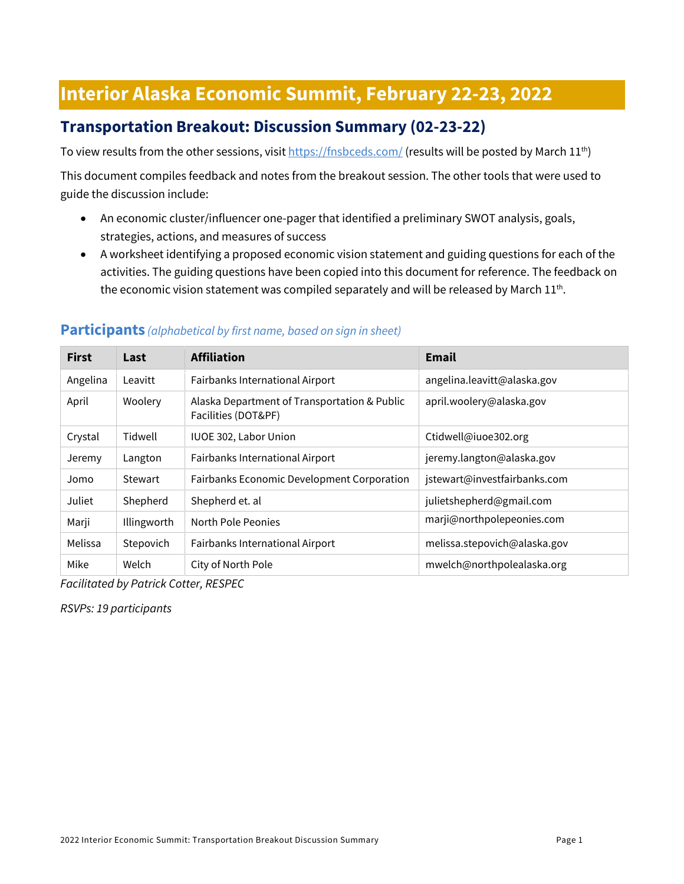# **Interior Alaska Economic Summit, February 22-23, 2022**

# **Transportation Breakout: Discussion Summary (02-23-22)**

To view results from the other sessions, visi[t https://fnsbceds.com/](https://fnsbceds.com/) (results will be posted by March 11<sup>th</sup>)

This document compiles feedback and notes from the breakout session. The other tools that were used to guide the discussion include:

- An economic cluster/influencer one-pager that identified a preliminary SWOT analysis, goals, strategies, actions, and measures of success
- A worksheet identifying a proposed economic vision statement and guiding questions for each of the activities. The guiding questions have been copied into this document for reference. The feedback on the economic vision statement was compiled separately and will be released by March  $11^{th}$ .

| <b>First</b> | Last        | <b>Affiliation</b>                                                  | Email                        |
|--------------|-------------|---------------------------------------------------------------------|------------------------------|
| Angelina     | Leavitt     | Fairbanks International Airport                                     | angelina.leavitt@alaska.gov  |
| April        | Woolery     | Alaska Department of Transportation & Public<br>Facilities (DOT&PF) | april.woolery@alaska.gov     |
| Crystal      | Tidwell     | IUOE 302, Labor Union                                               | Ctidwell@iuoe302.org         |
| Jeremy       | Langton     | Fairbanks International Airport                                     | jeremy.langton@alaska.gov    |
| Jomo         | Stewart     | Fairbanks Economic Development Corporation                          | jstewart@investfairbanks.com |
| Juliet       | Shepherd    | Shepherd et. al                                                     | julietshepherd@gmail.com     |
| Marji        | Illingworth | North Pole Peonies                                                  | marji@northpolepeonies.com   |
| Melissa      | Stepovich   | Fairbanks International Airport                                     | melissa.stepovich@alaska.gov |
| Mike         | Welch       | City of North Pole                                                  | mwelch@northpolealaska.org   |

#### **Participants** *(alphabetical by first name, based on sign in sheet)*

*Facilitated by Patrick Cotter, RESPEC*

*RSVPs: 19 participants*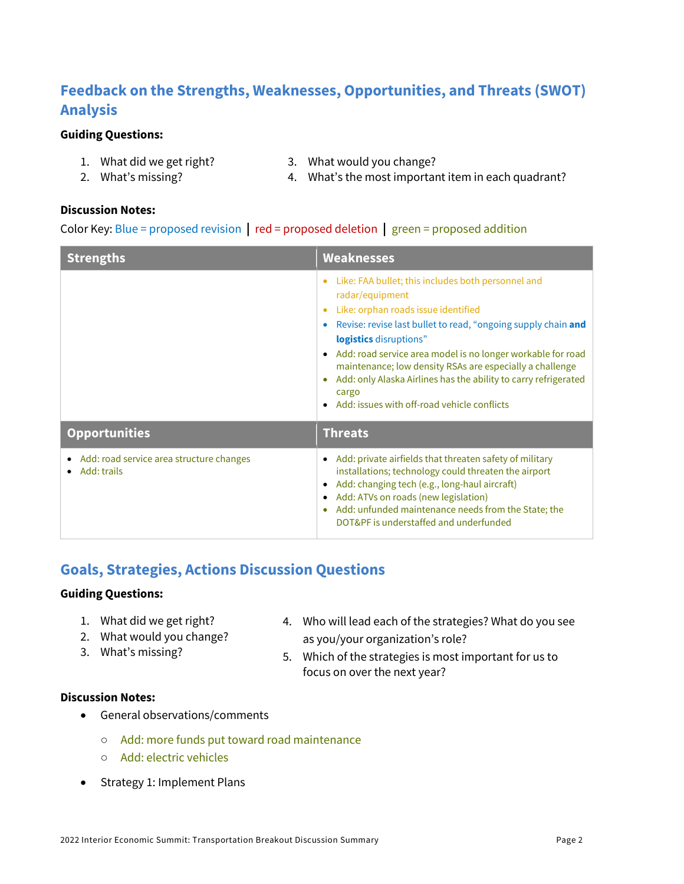# **Feedback on the Strengths, Weaknesses, Opportunities, and Threats (SWOT) Analysis**

#### **Guiding Questions:**

- 1. What did we get right?
- 2. What's missing?
- 3. What would you change?
	- 4. What's the most important item in each quadrant?

#### **Discussion Notes:**

Color Key: Blue = proposed revision **|** red = proposed deletion **|** green = proposed addition

| <b>Strengths</b>                                             | <b>Weaknesses</b>                                                                                                                                                                                                                                                                                                                                                                                                                                                                                                 |  |
|--------------------------------------------------------------|-------------------------------------------------------------------------------------------------------------------------------------------------------------------------------------------------------------------------------------------------------------------------------------------------------------------------------------------------------------------------------------------------------------------------------------------------------------------------------------------------------------------|--|
|                                                              | Like: FAA bullet; this includes both personnel and<br>radar/equipment<br>Like: orphan roads issue identified<br>Revise: revise last bullet to read, "ongoing supply chain and<br>$\bullet$<br>logistics disruptions"<br>Add: road service area model is no longer workable for road<br>$\bullet$<br>maintenance; low density RSAs are especially a challenge<br>Add: only Alaska Airlines has the ability to carry refrigerated<br>$\bullet$<br>cargo<br>Add: issues with off-road vehicle conflicts<br>$\bullet$ |  |
| <b>Opportunities</b>                                         | <b>Threats</b>                                                                                                                                                                                                                                                                                                                                                                                                                                                                                                    |  |
| Add: road service area structure changes<br>٠<br>Add: trails | Add: private airfields that threaten safety of military<br>$\bullet$<br>installations; technology could threaten the airport<br>Add: changing tech (e.g., long-haul aircraft)<br>٠<br>Add: ATVs on roads (new legislation)<br>٠<br>Add: unfunded maintenance needs from the State; the<br>۰<br>DOT&PF is understaffed and underfunded                                                                                                                                                                             |  |

# **Goals, Strategies, Actions Discussion Questions**

#### **Guiding Questions:**

- 1. What did we get right?
- 2. What would you change?
- 3. What's missing?
- 4. Who will lead each of the strategies? What do you see as you/your organization's role?
- 5. Which of the strategies is most important for us to focus on over the next year?

#### **Discussion Notes:**

- General observations/comments
	- Add: more funds put toward road maintenance
	- Add: electric vehicles
- Strategy 1: Implement Plans